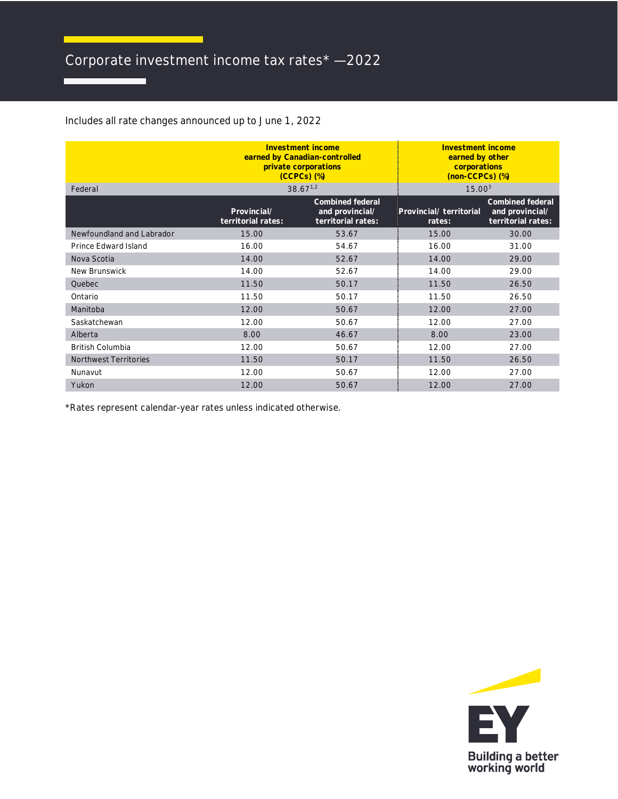## Corporate investment income tax rates\* — 2022

Includes all rate changes announced up to June 1, 2022

| Federal                      | Investment income<br>earned by Canadian-controlled<br>private corporations<br>$(CCPCs)$ $(\%)$<br>$38.67^{1,2}$ |                                                           | Investment income<br>earned by other<br>corporations<br>(non-CCPCs) (%)<br>15.00 <sup>3</sup> |                                                           |
|------------------------------|-----------------------------------------------------------------------------------------------------------------|-----------------------------------------------------------|-----------------------------------------------------------------------------------------------|-----------------------------------------------------------|
|                              | Provincial/<br>territorial rates:                                                                               | Combined federal<br>and provincial/<br>territorial rates: | Provincial/ territorial<br>rates:                                                             | Combined federal<br>and provincial/<br>territorial rates: |
| Newfoundland and Labrador    | 15.00                                                                                                           | 53.67                                                     | 15.00                                                                                         | 30.00                                                     |
| Prince Edward Island         | 16.00                                                                                                           | 54.67                                                     | 16.00                                                                                         | 31.00                                                     |
| Nova Scotia                  | 14.00                                                                                                           | 52.67                                                     | 14.00                                                                                         | 29.00                                                     |
| New Brunswick                | 14.00                                                                                                           | 52.67                                                     | 14.00                                                                                         | 29.00                                                     |
| Quebec                       | 11.50                                                                                                           | 50.17                                                     | 11.50                                                                                         | 26.50                                                     |
| Ontario                      | 11.50                                                                                                           | 50.17                                                     | 11.50                                                                                         | 26.50                                                     |
| Manitoba                     | 12.00                                                                                                           | 50.67                                                     | 12.00                                                                                         | 27.00                                                     |
| Saskatchewan                 | 12.00                                                                                                           | 50.67                                                     | 12.00                                                                                         | 27.00                                                     |
| Alberta                      | 8.00                                                                                                            | 46.67                                                     | 8.00                                                                                          | 23.00                                                     |
| <b>British Columbia</b>      | 12.00                                                                                                           | 50.67                                                     | 12.00                                                                                         | 27.00                                                     |
| <b>Northwest Territories</b> | 11.50                                                                                                           | 50.17                                                     | 11.50                                                                                         | 26.50                                                     |
| Nunavut                      | 12.00                                                                                                           | 50.67                                                     | 12.00                                                                                         | 27.00                                                     |
| Yukon                        | 12.00                                                                                                           | 50.67                                                     | 12.00                                                                                         | 27.00                                                     |

\*Rates represent calendar-year rates unless indicated otherwise.